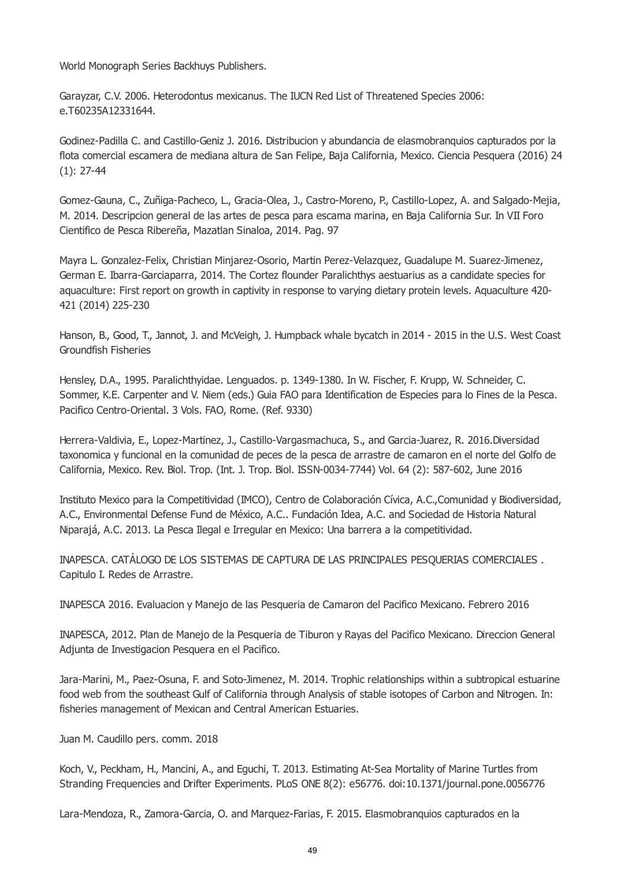World Monograph Series Backhuys Publishers.

Garayzar, C.V. 2006. Heterodontus mexicanus. The IUCN Red List of Threatened Species 2006: e.T60235A12331644.

Godinez-Padilla C. and Castillo-Geniz J. 2016. Distribucion y abundancia de elasmobranquios capturados por la flota comercial escamera de mediana altura de San Felipe, Baja California, Mexico. Ciencia Pesquera (2016) 24 (1): 27-44

Gomez-Gauna, C., Zuñiga-Pacheco, L., Gracia-Olea, J., Castro-Moreno, P., Castillo-Lopez, A. and Salgado-Mejia, M. 2014. Descripcion general de las artes de pesca para escama marina, en Baja California Sur. In VII Foro Cientifico de Pesca Ribereña, Mazatlan Sinaloa, 2014. Pag. 97

Mayra L. Gonzalez-Felix, Christian Minjarez-Osorio, Martin Perez-Velazquez, Guadalupe M. Suarez-Jimenez, German E. Ibarra-Garciaparra, 2014. The Cortez flounder Paralichthys aestuarius as a candidate species for aquaculture: First report on growth in captivity in response to varying dietary protein levels. Aquaculture 420- 421 (2014) 225-230

Hanson, B., Good, T., Jannot, J. and McVeigh, J. Humpback whale bycatch in 2014 - 2015 in the U.S. West Coast Groundfish Fisheries

Hensley, D.A., 1995. Paralichthyidae. Lenguados. p. 1349-1380. In W. Fischer, F. Krupp, W. Schneider, C. Sommer, K.E. Carpenter and V. Niem (eds.) Guia FAO para Identification de Especies para lo Fines de la Pesca. Pacifico Centro-Oriental. 3 Vols. FAO, Rome. (Ref. 9330)

Herrera-Valdivia, E., Lopez-Martinez, J., Castillo-Vargasmachuca, S., and Garcia-Juarez, R. 2016.Diversidad taxonomica y funcional en la comunidad de peces de la pesca de arrastre de camaron en el norte del Golfo de California, Mexico. Rev. Biol. Trop. (Int. J. Trop. Biol. ISSN-0034-7744) Vol. 64 (2): 587-602, June 2016

Instituto Mexico para la Competitividad (IMCO), Centro de Colaboración Cívica, A.C.,Comunidad y Biodiversidad, A.C., Environmental Defense Fund de México, A.C.. Fundación Idea, A.C. and Sociedad de Historia Natural Niparajá, A.C. 2013. La Pesca Ilegal e Irregular en Mexico: Una barrera a la competitividad.

INAPESCA. CATÁLOGO DE LOS SISTEMAS DE CAPTURA DE LAS PRINCIPALES PESQUERIAS COMERCIALES . Capitulo I. Redes de Arrastre.

INAPESCA 2016. Evaluacion y Manejo de las Pesqueria de Camaron del Pacifico Mexicano. Febrero 2016

INAPESCA, 2012. Plan de Manejo de la Pesqueria de Tiburon y Rayas del Pacifico Mexicano. Direccion General Adjunta de Investigacion Pesquera en el Pacifico.

Jara-Marini, M., Paez-Osuna, F. and Soto-Jimenez, M. 2014. Trophic relationships within a subtropical estuarine food web from the southeast Gulf of California through Analysis of stable isotopes of Carbon and Nitrogen. In: fisheries management of Mexican and Central American Estuaries.

Juan M. Caudillo pers. comm. 2018

Koch, V., Peckham, H., Mancini, A., and Eguchi, T. 2013. Estimating At-Sea Mortality of Marine Turtles from Stranding Frequencies and Drifter Experiments. PLoS ONE 8(2): e56776. doi:10.1371/journal.pone.0056776

Lara-Mendoza, R., Zamora-Garcia, O. and Marquez-Farias, F. 2015. Elasmobranquios capturados en la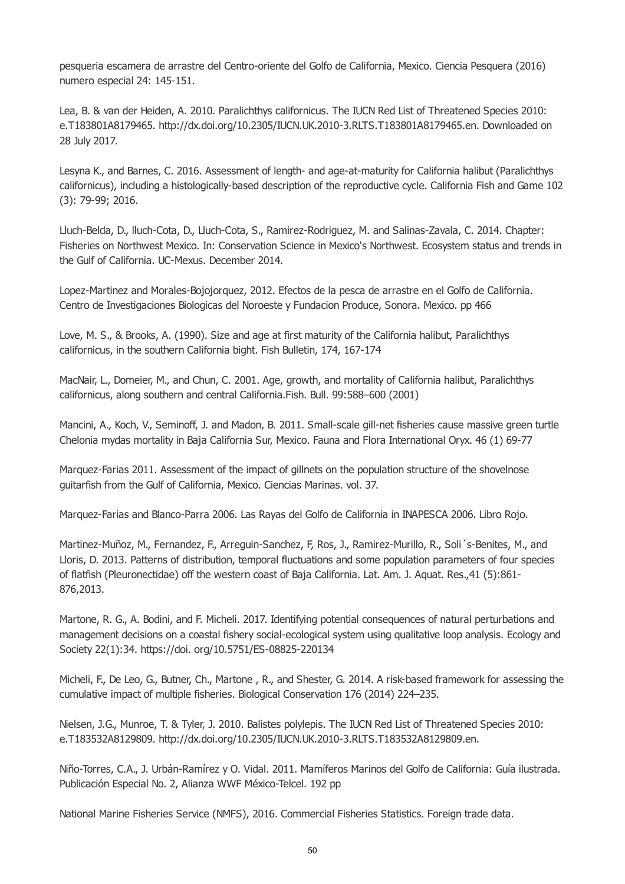pesqueria escamera de arrastre del Centro-oriente del Golfo de California, Mexico. Ciencia Pesquera (2016) numero especial 24: 145-151.

Lea, B. & van der Heiden, A. 2010. Paralichthys californicus. The IUCN Red List of Threatened Species 2010: e.T183801A8179465. http://dx.doi.org/10.2305/IUCN.UK.2010-3.RLTS.T183801A8179465.en. Downloaded on 28 July 2017.

Lesyna K., and Barnes, C. 2016. Assessment of length- and age-at-maturity for California halibut (Paralichthys californicus), including a histologically-based description of the reproductive cycle. California Fish and Game 102 (3): 79-99; 2016.

Lluch-Belda, D., lluch-Cota, D., Lluch-Cota, S., Ramirez-Rodriguez, M. and Salinas-Zavala, C. 2014. Chapter: Fisheries on Northwest Mexico. In: Conservation Science in Mexico's Northwest. Ecosystem status and trends in the Gulf of California. UC-Mexus. December 2014.

Lopez-Martinez and Morales-Bojojorquez, 2012. Efectos de la pesca de arrastre en el Golfo de California. Centro de Investigaciones Biologicas del Noroeste y Fundacion Produce, Sonora. Mexico. pp 466

Love, M. S., & Brooks, A. (1990). Size and age at first maturity of the California halibut, Paralichthys californicus, in the southern California bight. Fish Bulletin, 174, 167-174

MacNair, L., Domeier, M., and Chun, C. 2001. Age, growth, and mortality of California halibut, Paralichthys californicus, along southern and central California.Fish. Bull. 99:588–600 (2001)

Mancini, A., Koch, V., Seminoff, J. and Madon, B. 2011. Small-scale gill-net fisheries cause massive green turtle Chelonia mydas mortality in Baja California Sur, Mexico. Fauna and Flora International Oryx. 46 (1) 69-77

Marquez-Farias 2011. Assessment of the impact of gillnets on the population structure of the shovelnose guitarfish from the Gulf of California, Mexico. Ciencias Marinas. vol. 37.

Marquez-Farias and Blanco-Parra 2006. Las Rayas del Golfo de California in INAPESCA 2006. Libro Rojo.

Martinez-Muñoz, M., Fernandez, F., Arreguin-Sanchez, F, Ros, J., Ramirez-Murillo, R., Soli´s-Benites, M., and Lloris, D. 2013. Patterns of distribution, temporal fluctuations and some population parameters of four species of flatfish (Pleuronectidae) off the western coast of Baja California. Lat. Am. J. Aquat. Res.,41 (5):861- 876,2013.

Martone, R. G., A. Bodini, and F. Micheli. 2017. Identifying potential consequences of natural perturbations and management decisions on a coastal fishery social-ecological system using qualitative loop analysis. Ecology and Society 22(1):34. https://doi. org/10.5751/ES-08825-220134

Micheli, F., De Leo, G., Butner, Ch., Martone , R., and Shester, G. 2014. A risk-based framework for assessing the cumulative impact of multiple fisheries. Biological Conservation 176 (2014) 224–235.

Nielsen, J.G., Munroe, T. & Tyler, J. 2010. Balistes polylepis. The IUCN Red List of Threatened Species 2010: e.T183532A8129809. http://dx.doi.org/10.2305/IUCN.UK.2010-3.RLTS.T183532A8129809.en.

Niño-Torres, C.A., J. Urbán-Ramírez y O. Vidal. 2011. Mamíferos Marinos del Golfo de California: Guía ilustrada. Publicación Especial No. 2, Alianza WWF México-Telcel. 192 pp

National Marine Fisheries Service (NMFS), 2016. Commercial Fisheries Statistics. Foreign trade data.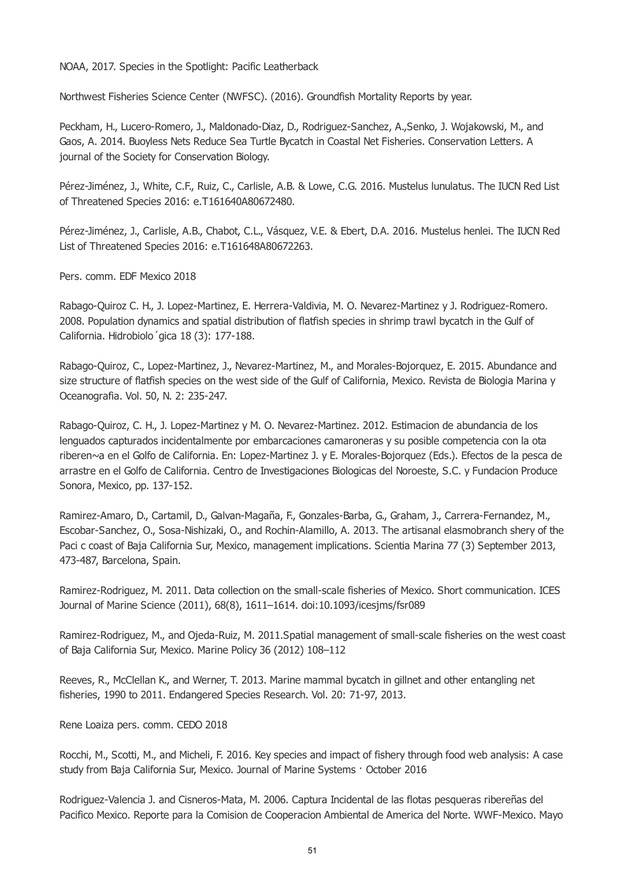NOAA, 2017. Species in the Spotlight: Pacific Leatherback

Northwest Fisheries Science Center (NWFSC). (2016). Groundfish Mortality Reports by year.

Peckham, H., Lucero-Romero, J., Maldonado-Diaz, D., Rodriguez-Sanchez, A.,Senko, J. Wojakowski, M., and Gaos, A. 2014. Buoyless Nets Reduce Sea Turtle Bycatch in Coastal Net Fisheries. Conservation Letters. A journal of the Society for Conservation Biology.

Pérez-Jiménez, J., White, C.F., Ruiz, C., Carlisle, A.B. & Lowe, C.G. 2016. Mustelus lunulatus. The IUCN Red List of Threatened Species 2016: e.T161640A80672480.

Pérez-Jiménez, J., Carlisle, A.B., Chabot, C.L., Vásquez, V.E. & Ebert, D.A. 2016. Mustelus henlei. The IUCN Red List of Threatened Species 2016: e.T161648A80672263.

Pers. comm. EDF Mexico 2018

Rabago-Quiroz C. H., J. Lopez-Martinez, E. Herrera-Valdivia, M. O. Nevarez-Martinez y J. Rodriguez-Romero. 2008. Population dynamics and spatial distribution of flatfish species in shrimp trawl bycatch in the Gulf of California. Hidrobiolo´gica 18 (3): 177-188.

Rabago-Quiroz, C., Lopez-Martinez, J., Nevarez-Martinez, M., and Morales-Bojorquez, E. 2015. Abundance and size structure of flatfish species on the west side of the Gulf of California, Mexico. Revista de Biologia Marina y Oceanografia. Vol. 50, N. 2: 235-247.

Rabago-Quiroz, C. H., J. Lopez-Martinez y M. O. Nevarez-Martinez. 2012. Estimacion de abundancia de los lenguados capturados incidentalmente por embarcaciones camaroneras y su posible competencia con la ota riberen~a en el Golfo de California. En: Lopez-Martinez J. y E. Morales-Bojorquez (Eds.). Efectos de la pesca de arrastre en el Golfo de California. Centro de Investigaciones Biologicas del Noroeste, S.C. y Fundacion Produce Sonora, Mexico, pp. 137-152.

Ramirez-Amaro, D., Cartamil, D., Galvan-Magaña, F., Gonzales-Barba, G., Graham, J., Carrera-Fernandez, M., Escobar-Sanchez, O., Sosa-Nishizaki, O., and Rochin-Alamillo, A. 2013. The artisanal elasmobranch shery of the Paci c coast of Baja California Sur, Mexico, management implications. Scientia Marina 77 (3) September 2013, 473-487, Barcelona, Spain.

Ramirez-Rodriguez, M. 2011. Data collection on the small-scale fisheries of Mexico. Short communication. ICES Journal of Marine Science (2011), 68(8), 1611–1614. doi:10.1093/icesjms/fsr089

Ramirez-Rodriguez, M., and Ojeda-Ruiz, M. 2011.Spatial management of small-scale fisheries on the west coast of Baja California Sur, Mexico. Marine Policy 36 (2012) 108–112

Reeves, R., McClellan K., and Werner, T. 2013. Marine mammal bycatch in gillnet and other entangling net fisheries, 1990 to 2011. Endangered Species Research. Vol. 20: 71-97, 2013.

Rene Loaiza pers. comm. CEDO 2018

Rocchi, M., Scotti, M., and Micheli, F. 2016. Key species and impact of fishery through food web analysis: A case study from Baja California Sur, Mexico. Journal of Marine Systems · October 2016

Rodriguez-Valencia J. and Cisneros-Mata, M. 2006. Captura Incidental de las flotas pesqueras ribereñas del Pacifico Mexico. Reporte para la Comision de Cooperacion Ambiental de America del Norte. WWF-Mexico. Mayo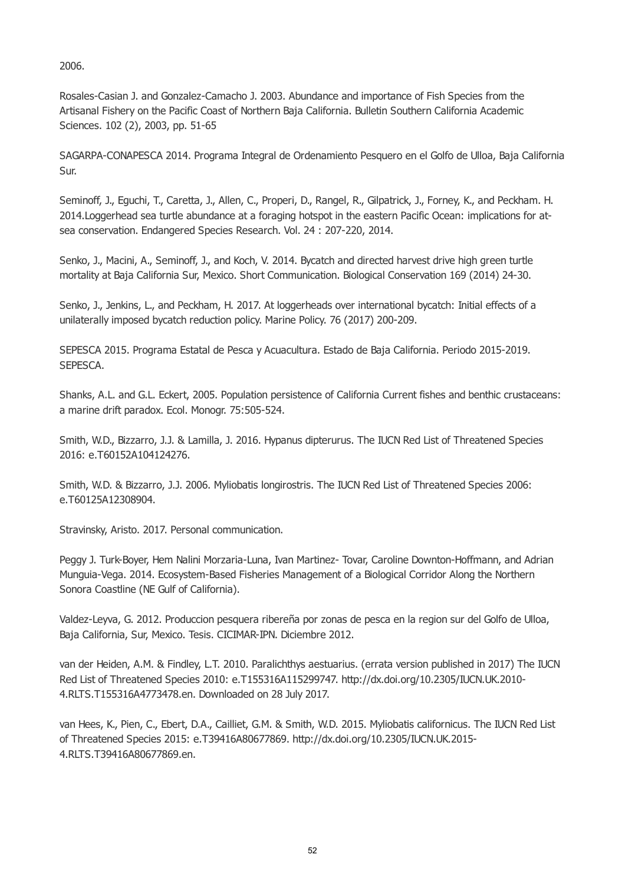2006.

Rosales-Casian J. and Gonzalez-Camacho J. 2003. Abundance and importance of Fish Species from the Artisanal Fishery on the Pacific Coast of Northern Baja California. Bulletin Southern California Academic Sciences. 102 (2), 2003, pp. 51-65

SAGARPA-CONAPESCA 2014. Programa Integral de Ordenamiento Pesquero en el Golfo de Ulloa, Baja California Sur.

Seminoff, J., Eguchi, T., Caretta, J., Allen, C., Properi, D., Rangel, R., Gilpatrick, J., Forney, K., and Peckham. H. 2014.Loggerhead sea turtle abundance at a foraging hotspot in the eastern Pacific Ocean: implications for atsea conservation. Endangered Species Research. Vol. 24 : 207-220, 2014.

Senko, J., Macini, A., Seminoff, J., and Koch, V. 2014. Bycatch and directed harvest drive high green turtle mortality at Baja California Sur, Mexico. Short Communication. Biological Conservation 169 (2014) 24-30.

Senko, J., Jenkins, L., and Peckham, H. 2017. At loggerheads over international bycatch: Initial effects of a unilaterally imposed bycatch reduction policy. Marine Policy. 76 (2017) 200-209.

SEPESCA 2015. Programa Estatal de Pesca y Acuacultura. Estado de Baja California. Periodo 2015-2019. SEPESCA.

Shanks, A.L. and G.L. Eckert, 2005. Population persistence of California Current fishes and benthic crustaceans: a marine drift paradox. Ecol. Monogr. 75:505-524.

Smith, W.D., Bizzarro, J.J. & Lamilla, J. 2016. Hypanus dipterurus. The IUCN Red List of Threatened Species 2016: e.T60152A104124276.

Smith, W.D. & Bizzarro, J.J. 2006. Myliobatis longirostris. The IUCN Red List of Threatened Species 2006: e.T60125A12308904.

Stravinsky, Aristo. 2017. Personal communication.

Peggy J. Turk-Boyer, Hem Nalini Morzaria-Luna, Ivan Martinez- Tovar, Caroline Downton-Hoffmann, and Adrian Munguia-Vega. 2014. Ecosystem-Based Fisheries Management of a Biological Corridor Along the Northern Sonora Coastline (NE Gulf of California).

Valdez-Leyva, G. 2012. Produccion pesquera ribereña por zonas de pesca en la region sur del Golfo de Ulloa, Baja California, Sur, Mexico. Tesis. CICIMAR-IPN. Diciembre 2012.

van der Heiden, A.M. & Findley, L.T. 2010. Paralichthys aestuarius. (errata version published in 2017) The IUCN Red List of Threatened Species 2010: e.T155316A115299747. http://dx.doi.org/10.2305/IUCN.UK.2010- 4.RLTS.T155316A4773478.en. Downloaded on 28 July 2017.

van Hees, K., Pien, C., Ebert, D.A., Cailliet, G.M. & Smith, W.D. 2015. Myliobatis californicus. The IUCN Red List of Threatened Species 2015: e.T39416A80677869. http://dx.doi.org/10.2305/IUCN.UK.2015- 4.RLTS.T39416A80677869.en.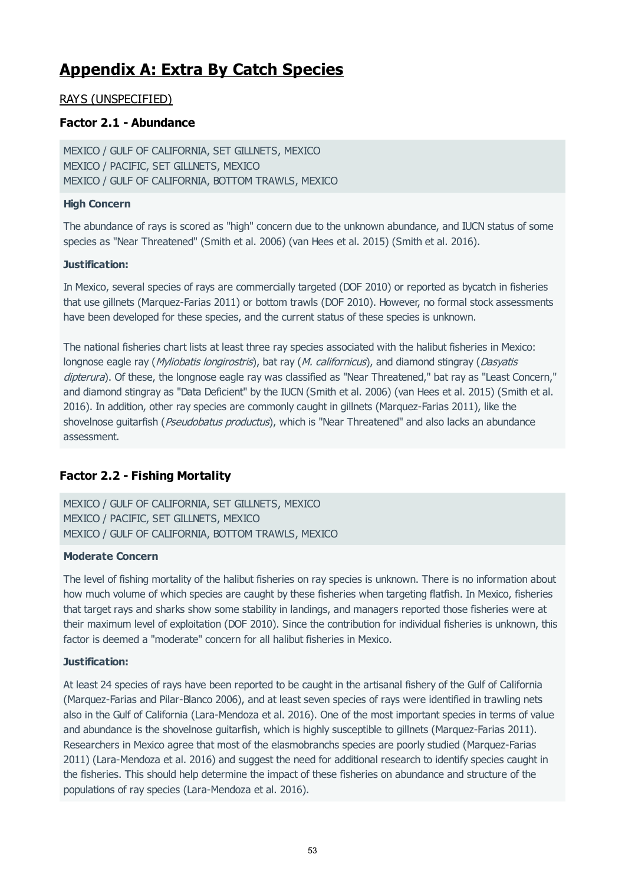## **Appendix A: Extra By Catch Species**

## RAYS (UNSPECIFIED)

## **Factor 2.1 - Abundance**

MEXICO / GULF OF CALIFORNIA, SET GILLNETS, MEXICO MEXICO / PACIFIC, SET GILLNETS, MEXICO MEXICO / GULF OF CALIFORNIA, BOTTOM TRAWLS, MEXICO

#### **High Concern**

The abundance of rays is scored as "high" concern due to the unknown abundance, and IUCN status of some species as "Near Threatened" (Smith et al. 2006) (van Hees et al. 2015) (Smith et al. 2016).

#### **Justification:**

In Mexico, several species of rays are commercially targeted (DOF 2010) or reported as bycatch in fisheries that use gillnets (Marquez-Farias 2011) or bottom trawls (DOF 2010). However, no formal stock assessments have been developed for these species, and the current status of these species is unknown.

The national fisheries chart lists at least three ray species associated with the halibut fisheries in Mexico: longnose eagle ray (Myliobatis longirostris), bat ray (M. californicus), and diamond stingray (Dasyatis dipterura). Of these, the longnose eagle ray was classified as "Near Threatened," bat ray as "Least Concern," and diamond stingray as "Data Deficient" by the IUCN (Smith et al. 2006) (van Hees et al. 2015) (Smith et al. 2016). In addition, other ray species are commonly caught in gillnets (Marquez-Farias 2011), like the shovelnose guitarfish (Pseudobatus productus), which is "Near Threatened" and also lacks an abundance assessment.

## **Factor 2.2 - Fishing Mortality**

MEXICO / GULF OF CALIFORNIA, SET GILLNETS, MEXICO MEXICO / PACIFIC, SET GILLNETS, MEXICO MEXICO / GULF OF CALIFORNIA, BOTTOM TRAWLS, MEXICO

#### **Moderate Concern**

The level of fishing mortality of the halibut fisheries on ray species is unknown. There is no information about how much volume of which species are caught by these fisheries when targeting flatfish. In Mexico, fisheries that target rays and sharks show some stability in landings, and managers reported those fisheries were at their maximum level of exploitation (DOF 2010). Since the contribution for individual fisheries is unknown, this factor is deemed a "moderate" concern for all halibut fisheries in Mexico.

#### **Justification:**

At least 24 species of rays have been reported to be caught in the artisanal fishery of the Gulf of California (Marquez-Farias and Pilar-Blanco 2006), and at least seven species of rays were identified in trawling nets also in the Gulf of California (Lara-Mendoza et al. 2016). One of the most important species in terms of value and abundance is the shovelnose guitarfish, which is highly susceptible to gillnets (Marquez-Farias 2011). Researchers in Mexico agree that most of the elasmobranchs species are poorly studied (Marquez-Farias 2011) (Lara-Mendoza et al. 2016) and suggest the need for additional research to identify species caught in the fisheries. This should help determine the impact of these fisheries on abundance and structure of the populations of ray species (Lara-Mendoza et al. 2016).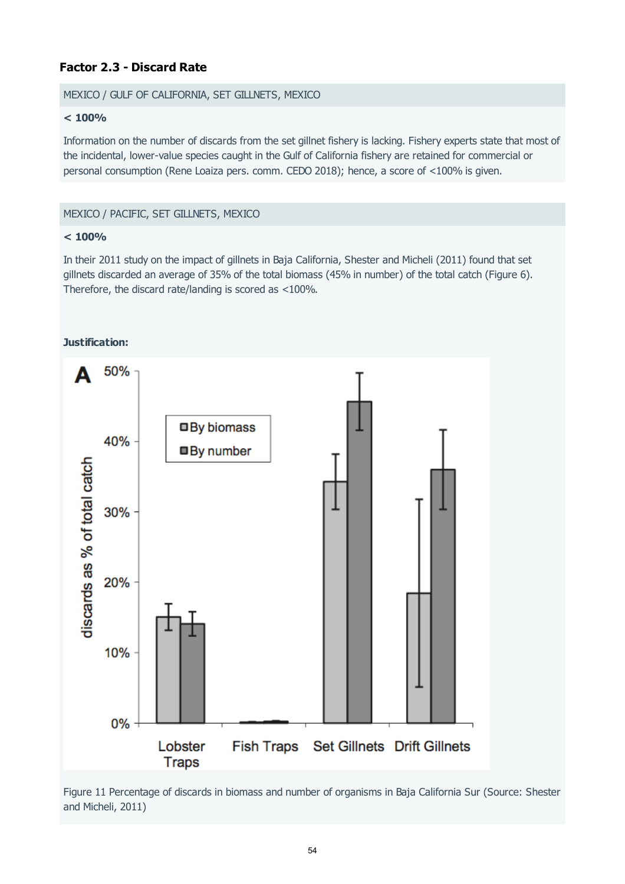## **Factor 2.3 - Discard Rate**

#### MEXICO / GULF OF CALIFORNIA, SET GILLNETS, MEXICO

#### **< 100%**

Information on the number of discards from the set gillnet fishery is lacking. Fishery experts state that most of the incidental, lower-value species caught in the Gulf of California fishery are retained for commercial or personal consumption (Rene Loaiza pers. comm. CEDO 2018); hence, a score of <100% is given.

#### MEXICO / PACIFIC, SET GILLNETS, MEXICO

#### **< 100%**

In their 2011 study on the impact of gillnets in Baja California, Shester and Micheli (2011) found that set gillnets discarded an average of 35% of the total biomass (45% in number) of the total catch (Figure 6). Therefore, the discard rate/landing is scored as <100%.



Figure 11 Percentage of discards in biomass and number of organisms in Baja California Sur (Source: Shester and Micheli, 2011)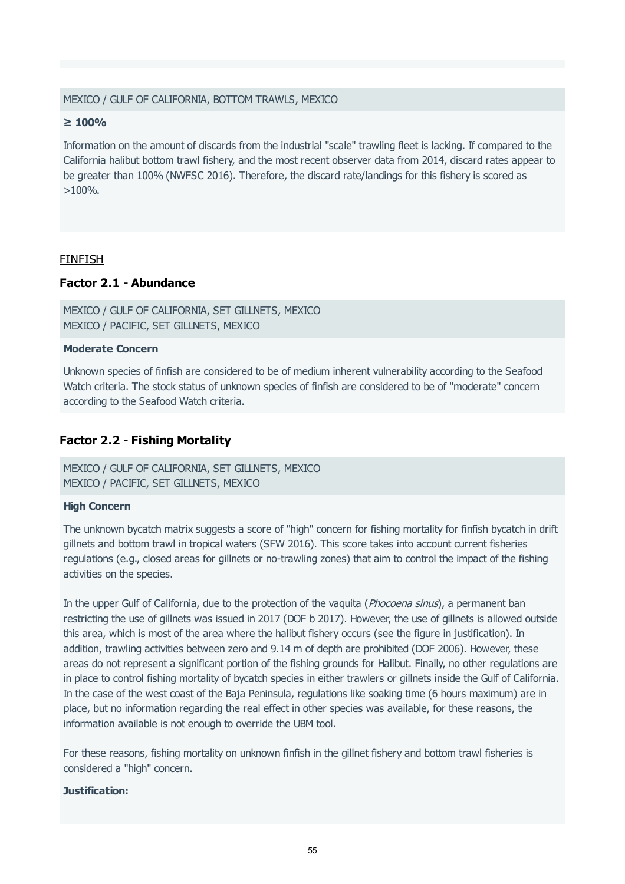#### MEXICO / GULF OF CALIFORNIA, BOTTOM TRAWLS, MEXICO

#### **≥ 100%**

Information on the amount of discards from the industrial "scale" trawling fleet is lacking. If compared to the California halibut bottom trawl fishery, and the most recent observer data from 2014, discard rates appear to be greater than 100% (NWFSC 2016). Therefore, the discard rate/landings for this fishery is scored as  $>100\%$ .

#### FINFISH

#### **Factor 2.1 - Abundance**

```
MEXICO / GULF OF CALIFORNIA, SET GILLNETS, MEXICO
MEXICO / PACIFIC, SET GILLNETS, MEXICO
```
#### **Moderate Concern**

Unknown species of finfish are considered to be of medium inherent vulnerability according to the Seafood Watch criteria. The stock status of unknown species of finfish are considered to be of "moderate" concern according to the Seafood Watch criteria.

#### **Factor 2.2 - Fishing Mortality**

MEXICO / GULF OF CALIFORNIA, SET GILLNETS, MEXICO MEXICO / PACIFIC, SET GILLNETS, MEXICO

#### **High Concern**

The unknown bycatch matrix suggests a score of "high" concern for fishing mortality for finfish bycatch in drift gillnets and bottom trawl in tropical waters (SFW 2016). This score takes into account current fisheries regulations (e.g., closed areas for gillnets or no-trawling zones) that aim to control the impact of the fishing activities on the species.

In the upper Gulf of California, due to the protection of the vaquita (*Phocoena sinus*), a permanent ban restricting the use of gillnets was issued in 2017 (DOF b 2017). However, the use of gillnets is allowed outside this area, which is most of the area where the halibut fishery occurs (see the figure in justification). In addition, trawling activities between zero and 9.14 m of depth are prohibited (DOF 2006). However, these areas do not represent a significant portion of the fishing grounds for Halibut. Finally, no other regulations are in place to control fishing mortality of bycatch species in either trawlers or gillnets inside the Gulf of California. In the case of the west coast of the Baja Peninsula, regulations like soaking time (6 hours maximum) are in place, but no information regarding the real effect in other species was available, for these reasons, the information available is not enough to override the UBM tool.

For these reasons, fishing mortality on unknown finfish in the gillnet fishery and bottom trawl fisheries is considered a "high" concern.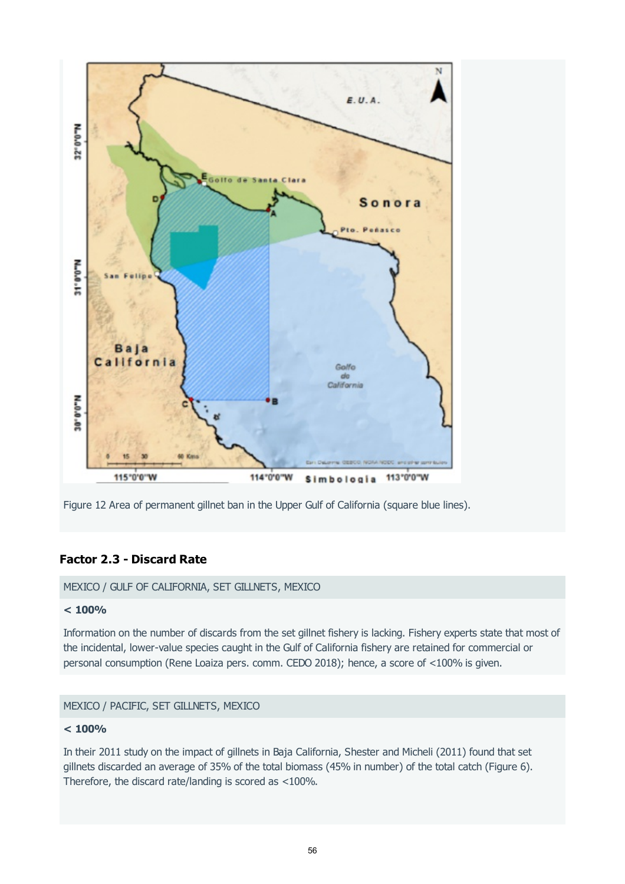



## **Factor 2.3 - Discard Rate**

MEXICO / GULF OF CALIFORNIA, SET GILLNETS, MEXICO

#### **< 100%**

Information on the number of discards from the set gillnet fishery is lacking. Fishery experts state that most of the incidental, lower-value species caught in the Gulf of California fishery are retained for commercial or personal consumption (Rene Loaiza pers. comm. CEDO 2018); hence, a score of <100% is given.

## MEXICO / PACIFIC, SET GILLNETS, MEXICO

#### **< 100%**

In their 2011 study on the impact of gillnets in Baja California, Shester and Micheli (2011) found that set gillnets discarded an average of 35% of the total biomass (45% in number) of the total catch (Figure 6). Therefore, the discard rate/landing is scored as <100%.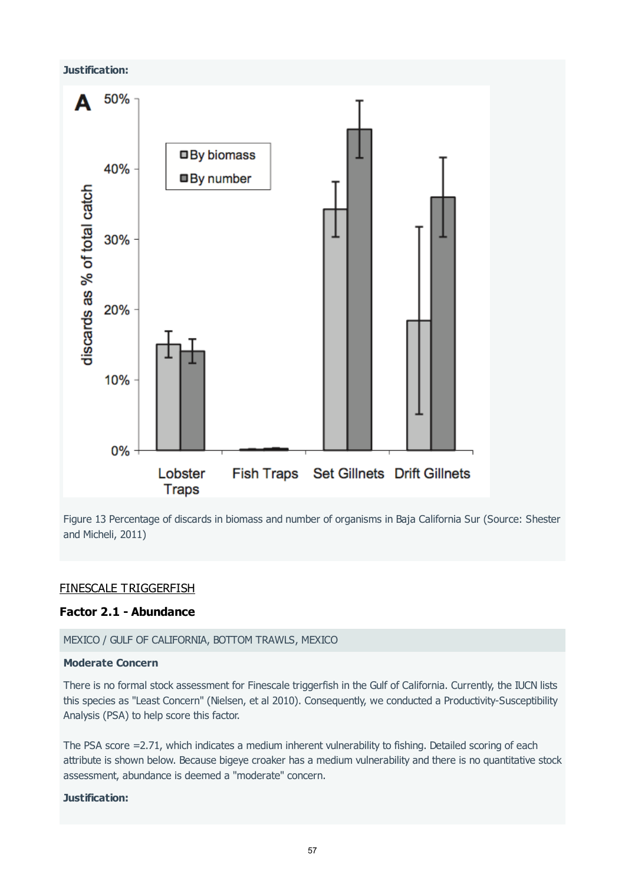# **Justification:** 50% Δ □ By biomass 40% **By number** discards as % of total catch 30% 20% 10% 0% Set Gillnets Drift Gillnets Lobster **Fish Traps Traps**

Figure 13 Percentage of discards in biomass and number of organisms in Baja California Sur (Source: Shester and Micheli, 2011)

#### FINESCALE TRIGGERFISH

#### **Factor 2.1 - Abundance**

#### MEXICO / GULF OF CALIFORNIA, BOTTOM TRAWLS, MEXICO

#### **Moderate Concern**

There is no formal stock assessment for Finescale triggerfish in the Gulf of California. Currently, the IUCN lists this species as "Least Concern" (Nielsen, et al 2010). Consequently, we conducted a Productivity-Susceptibility Analysis (PSA) to help score this factor.

The PSA score =2.71, which indicates a medium inherent vulnerability to fishing. Detailed scoring of each attribute is shown below. Because bigeye croaker has a medium vulnerability and there is no quantitative stock assessment, abundance is deemed a "moderate" concern.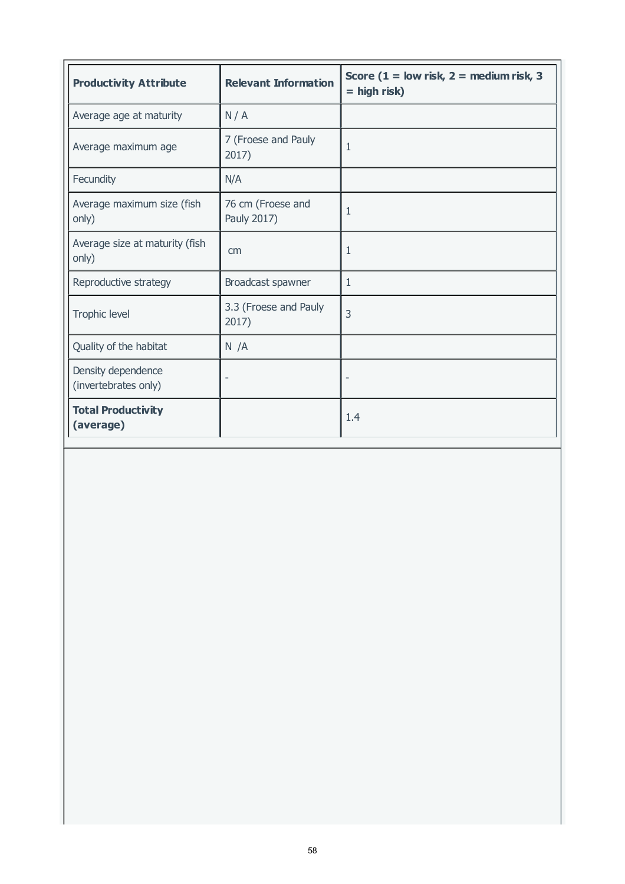| <b>Productivity Attribute</b>              | <b>Relevant Information</b>      | Score ( $1 =$ low risk, $2 =$ medium risk, 3<br>$=$ high risk) |
|--------------------------------------------|----------------------------------|----------------------------------------------------------------|
| Average age at maturity                    | N/A                              |                                                                |
| Average maximum age                        | 7 (Froese and Pauly<br>2017)     | 1                                                              |
| Fecundity                                  | N/A                              |                                                                |
| Average maximum size (fish<br>only)        | 76 cm (Froese and<br>Pauly 2017) | 1                                                              |
| Average size at maturity (fish<br>only)    | cm                               | 1                                                              |
| Reproductive strategy                      | Broadcast spawner                | 1                                                              |
| Trophic level                              | 3.3 (Froese and Pauly<br>2017)   | 3                                                              |
| Quality of the habitat                     | N/A                              |                                                                |
| Density dependence<br>(invertebrates only) |                                  |                                                                |
| <b>Total Productivity</b><br>(average)     |                                  | 1.4                                                            |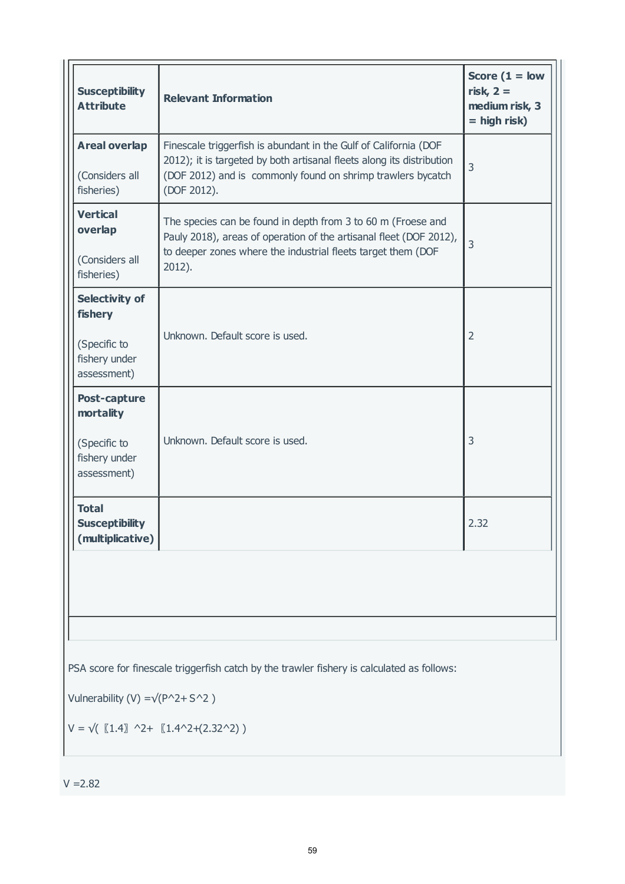| <b>Susceptibility</b><br><b>Attribute</b>                                 | <b>Relevant Information</b>                                                                                                                                                                                             | Score $(1 = low$<br>risk, $2 =$<br>medium risk, 3<br>$=$ high risk) |
|---------------------------------------------------------------------------|-------------------------------------------------------------------------------------------------------------------------------------------------------------------------------------------------------------------------|---------------------------------------------------------------------|
| <b>Areal overlap</b><br>(Considers all<br>fisheries)                      | Finescale triggerfish is abundant in the Gulf of California (DOF<br>2012); it is targeted by both artisanal fleets along its distribution<br>(DOF 2012) and is commonly found on shrimp trawlers bycatch<br>(DOF 2012). | $\overline{3}$                                                      |
| <b>Vertical</b><br>overlap<br>(Considers all<br>fisheries)                | The species can be found in depth from 3 to 60 m (Froese and<br>Pauly 2018), areas of operation of the artisanal fleet (DOF 2012),<br>to deeper zones where the industrial fleets target them (DOF<br>2012).            | $\overline{3}$                                                      |
| Selectivity of<br>fishery<br>(Specific to<br>fishery under<br>assessment) | Unknown. Default score is used.                                                                                                                                                                                         | $\overline{2}$                                                      |
| Post-capture<br>mortality<br>(Specific to<br>fishery under<br>assessment) | Unknown. Default score is used.                                                                                                                                                                                         | 3                                                                   |
| <b>Total</b><br><b>Susceptibility</b><br>(multiplicative)                 |                                                                                                                                                                                                                         | 2.32                                                                |
|                                                                           |                                                                                                                                                                                                                         |                                                                     |
| Vulnerability (V) = $\sqrt{(P^2 + S^2)}$                                  | PSA score for finescale triggerfish catch by the trawler fishery is calculated as follows:<br>$V = \sqrt{(1.4)}$ ^2+ $(1.4^2 + (2.32^2))$                                                                               |                                                                     |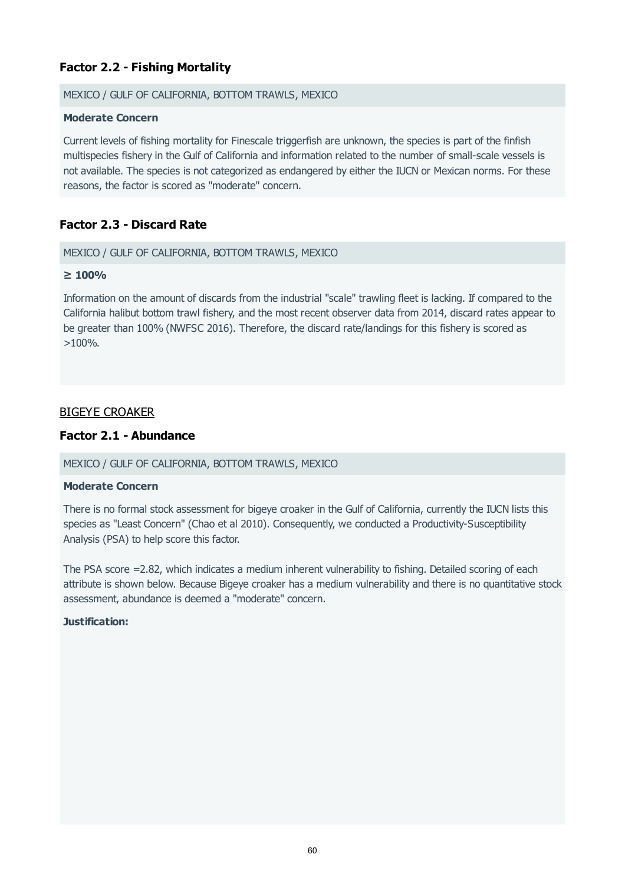## **Factor 2.2 - Fishing Mortality**

#### MEXICO / GULF OF CALIFORNIA, BOTTOM TRAWLS, MEXICO

#### **Moderate Concern**

Current levels of fishing mortality for Finescale triggerfish are unknown, the species is part of the finfish multispecies fishery in the Gulf of California and information related to the number of small-scale vessels is not available. The species is not categorized as endangered by either the IUCN or Mexican norms. For these reasons, the factor is scored as "moderate" concern.

## **Factor 2.3 - Discard Rate**

#### MEXICO / GULF OF CALIFORNIA, BOTTOM TRAWLS, MEXICO

#### **≥ 100%**

Information on the amount of discards from the industrial "scale" trawling fleet is lacking. If compared to the California halibut bottom trawl fishery, and the most recent observer data from 2014, discard rates appear to be greater than 100% (NWFSC 2016). Therefore, the discard rate/landings for this fishery is scored as  $>100\%$ .

## BIGEYE CROAKER

#### **Factor 2.1 - Abundance**

#### MEXICO / GULF OF CALIFORNIA, BOTTOM TRAWLS, MEXICO

#### **Moderate Concern**

There is no formal stock assessment for bigeye croaker in the Gulf of California, currently the IUCN lists this species as "Least Concern" (Chao et al 2010). Consequently, we conducted a Productivity-Susceptibility Analysis (PSA) to help score this factor.

The PSA score =2.82, which indicates a medium inherent vulnerability to fishing. Detailed scoring of each attribute is shown below. Because Bigeye croaker has a medium vulnerability and there is no quantitative stock assessment, abundance is deemed a "moderate" concern.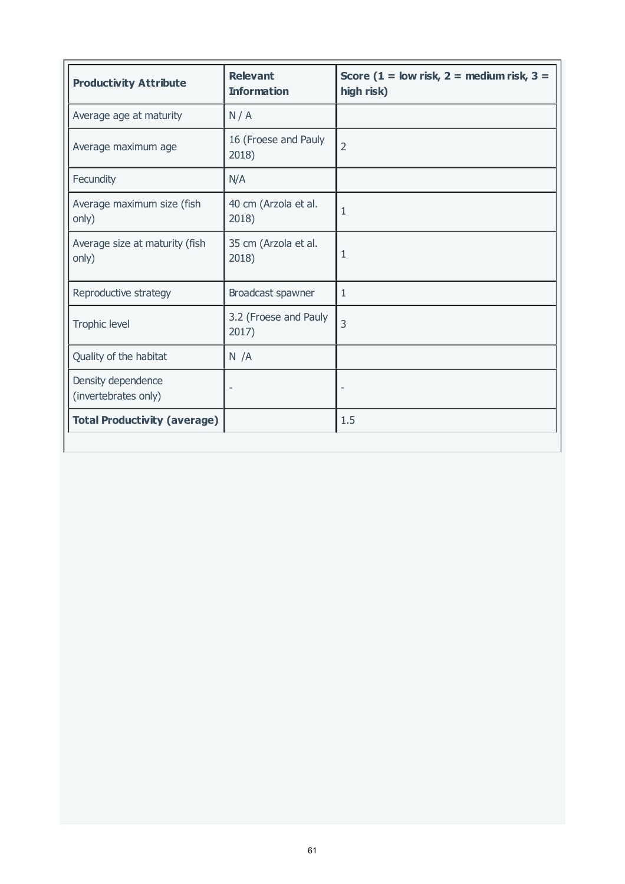| <b>Productivity Attribute</b>              | <b>Relevant</b><br><b>Information</b> | Score (1 = low risk, 2 = medium risk, 3 =<br>high risk) |
|--------------------------------------------|---------------------------------------|---------------------------------------------------------|
| Average age at maturity                    | N/A                                   |                                                         |
| Average maximum age                        | 16 (Froese and Pauly<br>2018)         | $\overline{2}$                                          |
| Fecundity                                  | N/A                                   |                                                         |
| Average maximum size (fish<br>only)        | 40 cm (Arzola et al.<br>2018)         | 1                                                       |
| Average size at maturity (fish<br>only)    | 35 cm (Arzola et al.<br>2018)         | 1                                                       |
| Reproductive strategy                      | Broadcast spawner                     | 1                                                       |
| Trophic level                              | 3.2 (Froese and Pauly<br>2017)        | 3                                                       |
| Quality of the habitat                     | N / A                                 |                                                         |
| Density dependence<br>(invertebrates only) |                                       |                                                         |
| <b>Total Productivity (average)</b>        |                                       | 1.5                                                     |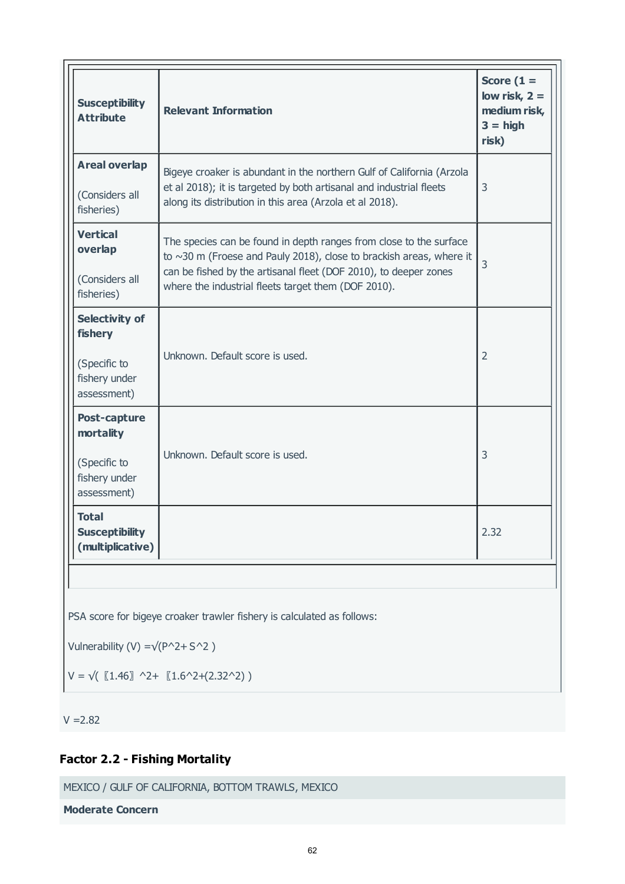| <b>Susceptibility</b><br><b>Attribute</b>                                 | <b>Relevant Information</b>                                                                                                                                                                                                                                                | Score $(1 =$<br>low risk, $2 =$<br>medium risk,<br>$3 = high$<br>risk) |
|---------------------------------------------------------------------------|----------------------------------------------------------------------------------------------------------------------------------------------------------------------------------------------------------------------------------------------------------------------------|------------------------------------------------------------------------|
| <b>Areal overlap</b><br>(Considers all<br>fisheries)                      | Bigeye croaker is abundant in the northern Gulf of California (Arzola<br>et al 2018); it is targeted by both artisanal and industrial fleets<br>along its distribution in this area (Arzola et al 2018).                                                                   | 3                                                                      |
| <b>Vertical</b><br>overlap<br>(Considers all<br>fisheries)                | The species can be found in depth ranges from close to the surface<br>to $\sim$ 30 m (Froese and Pauly 2018), close to brackish areas, where it<br>can be fished by the artisanal fleet (DOF 2010), to deeper zones<br>where the industrial fleets target them (DOF 2010). | $\overline{3}$                                                         |
| Selectivity of<br>fishery<br>(Specific to<br>fishery under<br>assessment) | Unknown. Default score is used.                                                                                                                                                                                                                                            | $\overline{2}$                                                         |
| Post-capture<br>mortality<br>(Specific to<br>fishery under<br>assessment) | Unknown. Default score is used.                                                                                                                                                                                                                                            | 3                                                                      |
| <b>Total</b><br><b>Susceptibility</b><br>(multiplicative)                 |                                                                                                                                                                                                                                                                            | 2.32                                                                   |
| Vulnerability (V) = $\sqrt{(P^2 + S^2)}$                                  | PSA score for bigeye croaker trawler fishery is calculated as follows:                                                                                                                                                                                                     |                                                                        |

 $V = \sqrt{(1.46)}$  ^2+  $(1.6$ ^2+(2.32^2))

 $V = 2.82$ 

## **Factor 2.2 - Fishing Mortality**

MEXICO / GULF OF CALIFORNIA, BOTTOM TRAWLS, MEXICO

**Moderate Concern**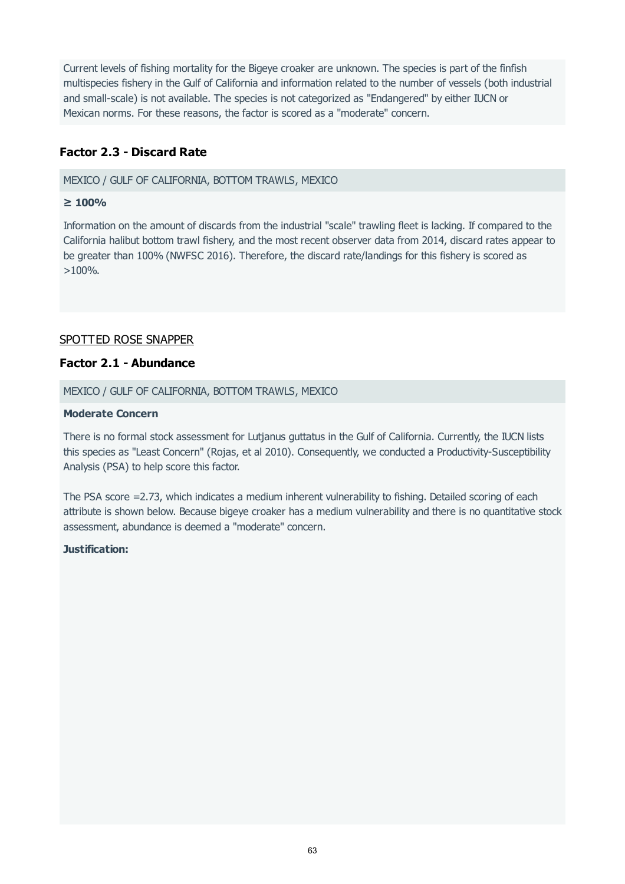Current levels of fishing mortality for the Bigeye croaker are unknown. The species is part of the finfish multispecies fishery in the Gulf of California and information related to the number of vessels (both industrial and small-scale) is not available. The species is not categorized as "Endangered" by either IUCN or Mexican norms. For these reasons, the factor is scored as a "moderate" concern.

## **Factor 2.3 - Discard Rate**

MEXICO / GULF OF CALIFORNIA, BOTTOM TRAWLS, MEXICO

#### **≥ 100%**

Information on the amount of discards from the industrial "scale" trawling fleet is lacking. If compared to the California halibut bottom trawl fishery, and the most recent observer data from 2014, discard rates appear to be greater than 100% (NWFSC 2016). Therefore, the discard rate/landings for this fishery is scored as >100%.

## SPOTTED ROSE SNAPPER

#### **Factor 2.1 - Abundance**

MEXICO / GULF OF CALIFORNIA, BOTTOM TRAWLS, MEXICO

#### **Moderate Concern**

There is no formal stock assessment for Lutjanus guttatus in the Gulf of California. Currently, the IUCN lists this species as "Least Concern" (Rojas, et al 2010). Consequently, we conducted a Productivity-Susceptibility Analysis (PSA) to help score this factor.

The PSA score =2.73, which indicates a medium inherent vulnerability to fishing. Detailed scoring of each attribute is shown below. Because bigeye croaker has a medium vulnerability and there is no quantitative stock assessment, abundance is deemed a "moderate" concern.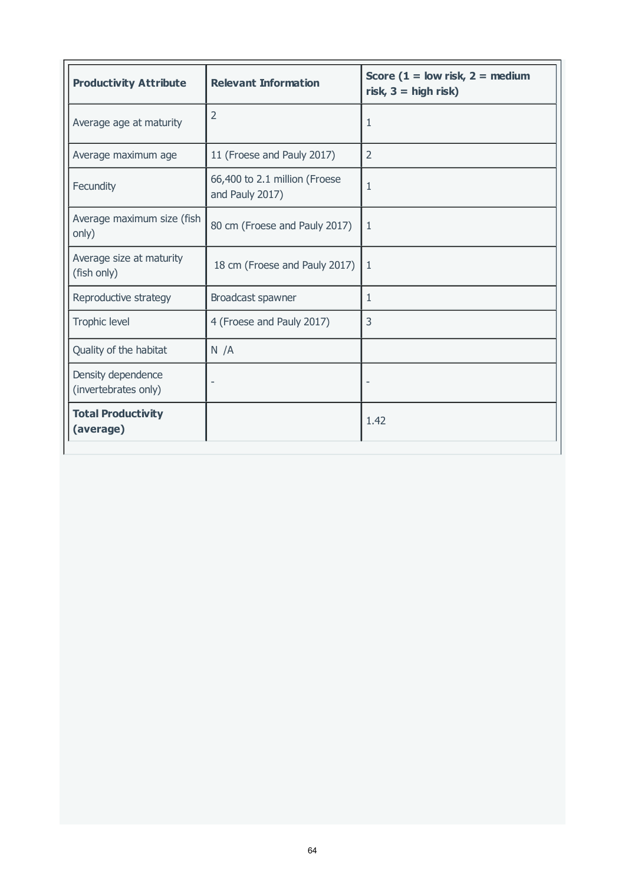| <b>Productivity Attribute</b>              | <b>Relevant Information</b>                      | Score ( $1 =$ low risk, $2 =$ medium<br>risk, $3 =$ high risk) |
|--------------------------------------------|--------------------------------------------------|----------------------------------------------------------------|
| Average age at maturity                    | $\overline{2}$                                   | $\mathbf{1}$                                                   |
| Average maximum age                        | 11 (Froese and Pauly 2017)                       | $\overline{2}$                                                 |
| Fecundity                                  | 66,400 to 2.1 million (Froese<br>and Pauly 2017) | $\mathbf{1}$                                                   |
| Average maximum size (fish<br>only)        | 80 cm (Froese and Pauly 2017)                    | $\mathbf{1}$                                                   |
| Average size at maturity<br>(fish only)    | 18 cm (Froese and Pauly 2017)                    | $\mathbf{1}$                                                   |
| Reproductive strategy                      | Broadcast spawner                                | $\mathbf{1}$                                                   |
| <b>Trophic level</b>                       | 4 (Froese and Pauly 2017)                        | $\overline{3}$                                                 |
| Quality of the habitat                     | N/A                                              |                                                                |
| Density dependence<br>(invertebrates only) |                                                  |                                                                |
| <b>Total Productivity</b><br>(average)     |                                                  | 1.42                                                           |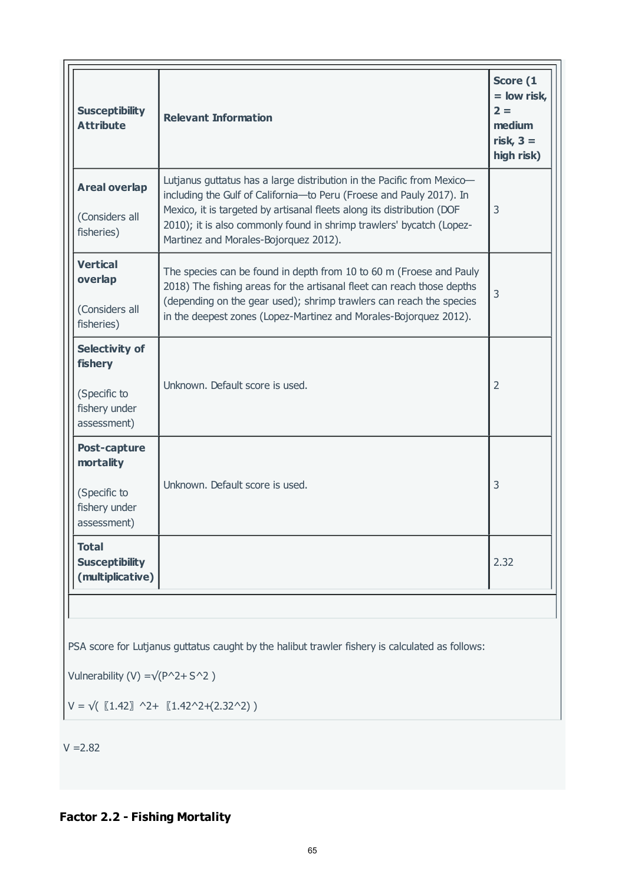| <b>Susceptibility</b><br><b>Attribute</b>                                 | <b>Relevant Information</b>                                                                                                                                                                                                                                                                                                               | Score (1<br>$=$ low risk,<br>$2 =$<br>medium<br>risk, $3 =$<br>high risk) |
|---------------------------------------------------------------------------|-------------------------------------------------------------------------------------------------------------------------------------------------------------------------------------------------------------------------------------------------------------------------------------------------------------------------------------------|---------------------------------------------------------------------------|
| <b>Areal overlap</b><br>(Considers all<br>fisheries)                      | Lutjanus guttatus has a large distribution in the Pacific from Mexico-<br>including the Gulf of California-to Peru (Froese and Pauly 2017). In<br>Mexico, it is targeted by artisanal fleets along its distribution (DOF<br>2010); it is also commonly found in shrimp trawlers' bycatch (Lopez-<br>Martinez and Morales-Bojorquez 2012). | 3                                                                         |
| <b>Vertical</b><br>overlap<br>(Considers all<br>fisheries)                | The species can be found in depth from 10 to 60 m (Froese and Pauly<br>2018) The fishing areas for the artisanal fleet can reach those depths<br>(depending on the gear used); shrimp trawlers can reach the species<br>in the deepest zones (Lopez-Martinez and Morales-Bojorquez 2012).                                                 | 3                                                                         |
| Selectivity of<br>fishery<br>(Specific to<br>fishery under<br>assessment) | Unknown. Default score is used.                                                                                                                                                                                                                                                                                                           | $\overline{2}$                                                            |
| Post-capture<br>mortality<br>(Specific to<br>fishery under<br>assessment) | Unknown. Default score is used.                                                                                                                                                                                                                                                                                                           | 3                                                                         |
| <b>Total</b><br><b>Susceptibility</b><br>(multiplicative)                 |                                                                                                                                                                                                                                                                                                                                           | 2.32                                                                      |

PSA score for Lutjanus guttatus caught by the halibut trawler fishery is calculated as follows:

Vulnerability (V) = $\sqrt{(P^2 + S^2)}$ 

 $V = \sqrt{(1.42)}$  ^2+  $[1.42^2(2.32^2)]$ 

 $V = 2.82$ 

## **Factor 2.2 - Fishing Mortality**